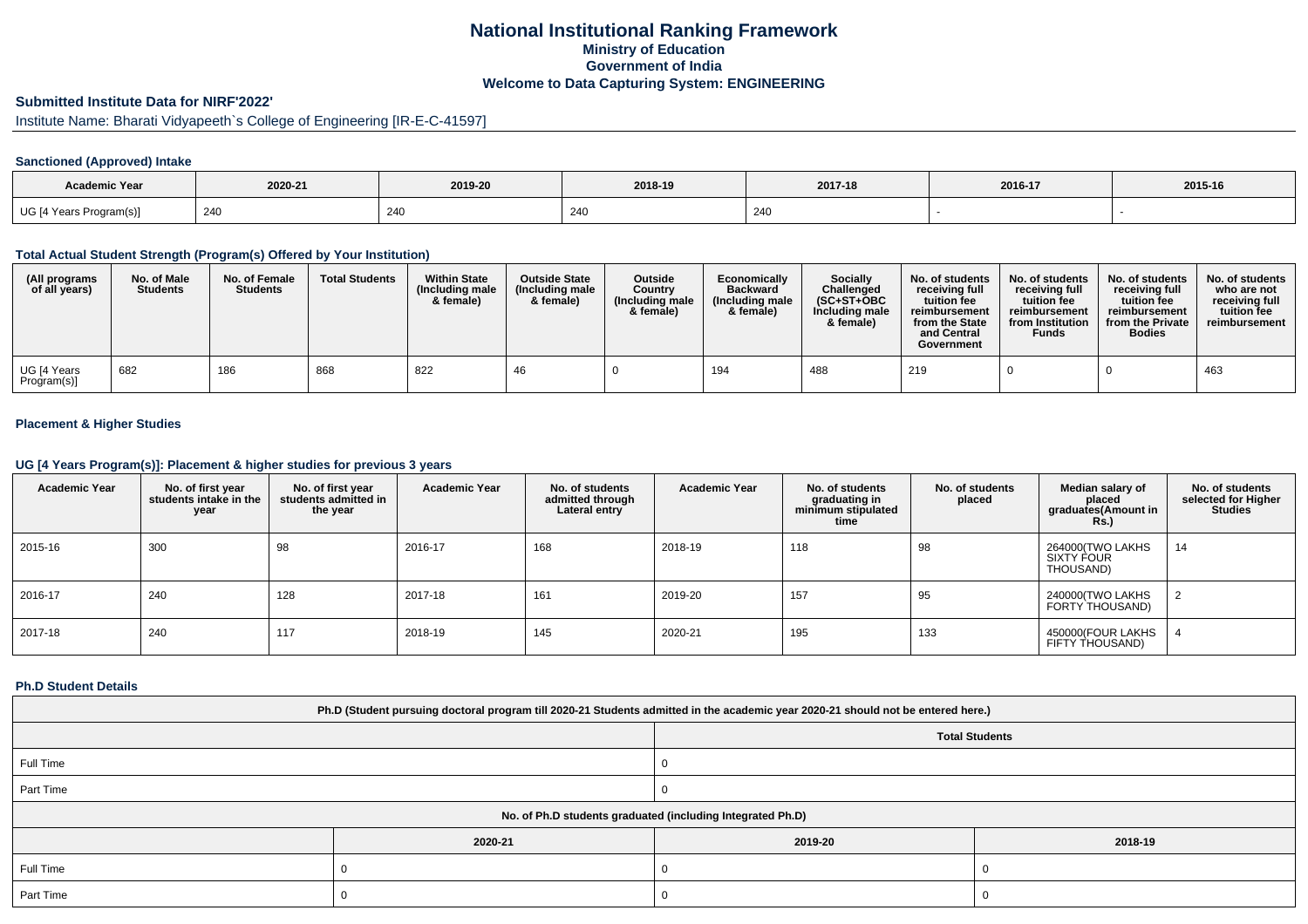# **National Institutional Ranking FrameworkMinistry of Education Government of IndiaWelcome to Data Capturing System: ENGINEERING**

# **Submitted Institute Data for NIRF'2022'**

# Institute Name: Bharati Vidyapeeth`s College of Engineering [IR-E-C-41597]

### **Sanctioned (Approved) Intake**

| <b>Academic Year</b>    | 2020-21 | 2019-20 | 2018-19 | 2017-18 | 2016-17 | 2015-16 |
|-------------------------|---------|---------|---------|---------|---------|---------|
| UG [4 Years Program(s)] | 240     | 240     | 240     | 240     |         |         |

#### **Total Actual Student Strength (Program(s) Offered by Your Institution)**

| (All programs<br>of all years) | No. of Male<br><b>Students</b> | No. of Female<br><b>Students</b> | <b>Total Students</b> | <b>Within State</b><br>(Including male<br>& female) | <b>Outside State</b><br>(Including male<br>& female) | <b>Outside</b><br>Country<br>(Including male<br>& female) | Economically<br><b>Backward</b><br>(Including male<br>& female) | <b>Socially</b><br>Challenged<br>$(SC+ST+OBC)$<br>Including male<br>& female) | No. of students<br>receiving full<br>tuition fee<br>reimbursement<br>from the State<br>and Central<br>Government | No. of students<br>receiving full<br>tuition fee<br>reimbursement<br>from Institution<br><b>Funds</b> | No. of students<br>receiving full<br>tuition fee<br>reimbursement<br>from the Private<br><b>Bodies</b> | No. of students<br>who are not<br>receiving full<br>tuition fee<br>reimbursement |
|--------------------------------|--------------------------------|----------------------------------|-----------------------|-----------------------------------------------------|------------------------------------------------------|-----------------------------------------------------------|-----------------------------------------------------------------|-------------------------------------------------------------------------------|------------------------------------------------------------------------------------------------------------------|-------------------------------------------------------------------------------------------------------|--------------------------------------------------------------------------------------------------------|----------------------------------------------------------------------------------|
| UG [4 Years<br>Program(s)]     | 682                            | 186                              | 868                   | 822                                                 |                                                      |                                                           | 194                                                             | 488                                                                           | 219                                                                                                              |                                                                                                       |                                                                                                        | 463                                                                              |

### **Placement & Higher Studies**

#### **UG [4 Years Program(s)]: Placement & higher studies for previous 3 years**

| <b>Academic Year</b> | No. of first year<br>students intake in the<br>year | No. of first year<br>students admitted in<br>the year | <b>Academic Year</b> | No. of students<br>admitted through<br>Lateral entry | Academic Year | No. of students<br>graduating in<br>minimum stipulated<br>time | No. of students<br>placed | Median salary of<br>placed<br>graduates(Amount in<br>Rs. | No. of students<br>selected for Higher<br><b>Studies</b> |
|----------------------|-----------------------------------------------------|-------------------------------------------------------|----------------------|------------------------------------------------------|---------------|----------------------------------------------------------------|---------------------------|----------------------------------------------------------|----------------------------------------------------------|
| 2015-16              | 300                                                 | 98                                                    | 2016-17              | 168                                                  | 2018-19       | 118                                                            | 98                        | 264000(TWO LAKHS<br>SIXTY FOUR<br>THOUSAND)              | 14                                                       |
| 2016-17              | 240                                                 | 128                                                   | 2017-18              | 161                                                  | 2019-20       | 157                                                            | 95                        | 240000(TWO LAKHS<br>FORTY THOUSAND)                      |                                                          |
| 2017-18              | 240                                                 | 117                                                   | 2018-19              | 145                                                  | 2020-21       | 195                                                            | 133                       | 450000(FOUR LAKHS<br>FIFTY THOUSAND)                     |                                                          |

#### **Ph.D Student Details**

| Ph.D (Student pursuing doctoral program till 2020-21 Students admitted in the academic year 2020-21 should not be entered here.) |         |                       |         |  |  |  |  |
|----------------------------------------------------------------------------------------------------------------------------------|---------|-----------------------|---------|--|--|--|--|
|                                                                                                                                  |         | <b>Total Students</b> |         |  |  |  |  |
| Full Time                                                                                                                        |         |                       |         |  |  |  |  |
| Part Time                                                                                                                        |         |                       |         |  |  |  |  |
| No. of Ph.D students graduated (including Integrated Ph.D)                                                                       |         |                       |         |  |  |  |  |
|                                                                                                                                  | 2020-21 | 2019-20               | 2018-19 |  |  |  |  |
| Full Time                                                                                                                        |         |                       |         |  |  |  |  |
| Part Time                                                                                                                        |         |                       |         |  |  |  |  |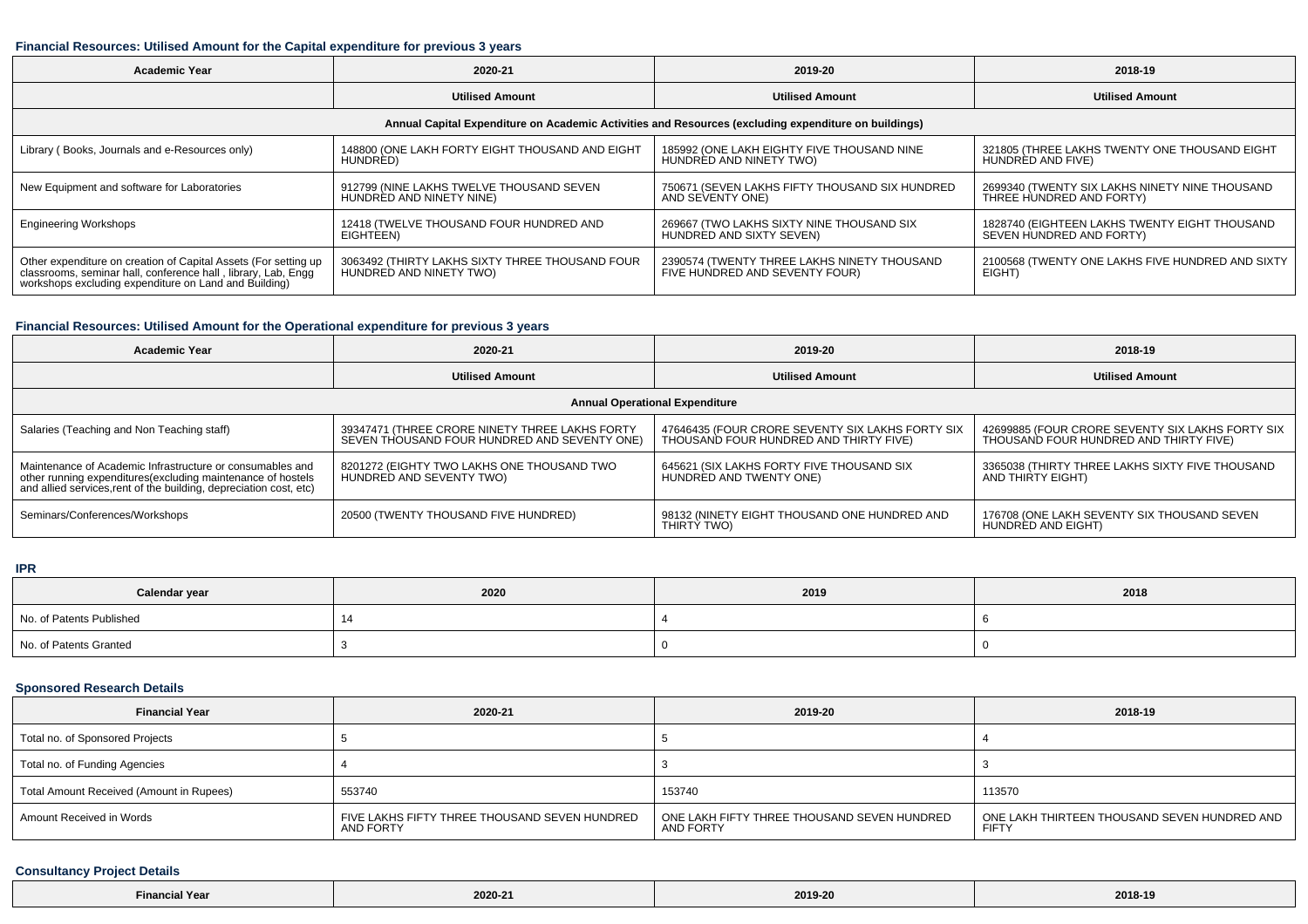#### **Financial Resources: Utilised Amount for the Capital expenditure for previous 3 years**

| <b>Academic Year</b>                                                                                                                                                                      | 2020-21                                                                    | 2019-20                                                                       | 2018-19                                                                    |  |  |  |  |  |  |
|-------------------------------------------------------------------------------------------------------------------------------------------------------------------------------------------|----------------------------------------------------------------------------|-------------------------------------------------------------------------------|----------------------------------------------------------------------------|--|--|--|--|--|--|
|                                                                                                                                                                                           | <b>Utilised Amount</b>                                                     | <b>Utilised Amount</b>                                                        | <b>Utilised Amount</b>                                                     |  |  |  |  |  |  |
| Annual Capital Expenditure on Academic Activities and Resources (excluding expenditure on buildings)                                                                                      |                                                                            |                                                                               |                                                                            |  |  |  |  |  |  |
| Library (Books, Journals and e-Resources only)                                                                                                                                            | 148800 (ONE LAKH FORTY EIGHT THOUSAND AND EIGHT<br>HUNDRED)                | 185992 (ONE LAKH EIGHTY FIVE THOUSAND NINE<br>HUNDRED AND NINETY TWO)         | 321805 (THREE LAKHS TWENTY ONE THOUSAND EIGHT<br>HUNDRED AND FIVE)         |  |  |  |  |  |  |
| New Equipment and software for Laboratories                                                                                                                                               | 912799 (NINE LAKHS TWELVE THOUSAND SEVEN<br>HUNDRED AND NINETY NINE)       | 750671 (SEVEN LAKHS FIFTY THOUSAND SIX HUNDRED<br>AND SEVENTY ONE)            | 2699340 (TWENTY SIX LAKHS NINETY NINE THOUSAND<br>THREE HUNDRED AND FORTY) |  |  |  |  |  |  |
| <b>Engineering Workshops</b>                                                                                                                                                              | 12418 (TWELVE THOUSAND FOUR HUNDRED AND<br>EIGHTEEN)                       | 269667 (TWO LAKHS SIXTY NINE THOUSAND SIX<br>HUNDRED AND SIXTY SEVEN)         | 1828740 (EIGHTEEN LAKHS TWENTY EIGHT THOUSAND<br>SEVEN HUNDRED AND FORTY)  |  |  |  |  |  |  |
| Other expenditure on creation of Capital Assets (For setting up<br>classrooms, seminar hall, conference hall, library, Lab, Engg<br>workshops excluding expenditure on Land and Building) | 3063492 (THIRTY LAKHS SIXTY THREE THOUSAND FOUR<br>HUNDRED AND NINETY TWO) | 2390574 (TWENTY THREE LAKHS NINETY THOUSAND<br>FIVE HUNDRED AND SEVENTY FOUR) | 2100568 (TWENTY ONE LAKHS FIVE HUNDRED AND SIXTY<br>EIGHT)                 |  |  |  |  |  |  |

## **Financial Resources: Utilised Amount for the Operational expenditure for previous 3 years**

| <b>Academic Year</b>                                                                                                                                                                            | 2020-21                                                                                        | 2019-20                                                                                    | 2018-19                                                                                    |  |  |  |  |  |  |
|-------------------------------------------------------------------------------------------------------------------------------------------------------------------------------------------------|------------------------------------------------------------------------------------------------|--------------------------------------------------------------------------------------------|--------------------------------------------------------------------------------------------|--|--|--|--|--|--|
|                                                                                                                                                                                                 | <b>Utilised Amount</b>                                                                         | <b>Utilised Amount</b>                                                                     | <b>Utilised Amount</b>                                                                     |  |  |  |  |  |  |
| <b>Annual Operational Expenditure</b>                                                                                                                                                           |                                                                                                |                                                                                            |                                                                                            |  |  |  |  |  |  |
| Salaries (Teaching and Non Teaching staff)                                                                                                                                                      | 39347471 (THREE CRORE NINETY THREE LAKHS FORTY<br>SEVEN THOUSAND FOUR HUNDRED AND SEVENTY ONE) | 47646435 (FOUR CRORE SEVENTY SIX LAKHS FORTY SIX<br>THOUSAND FOUR HUNDRED AND THIRTY FIVE) | 42699885 (FOUR CRORE SEVENTY SIX LAKHS FORTY SIX<br>THOUSAND FOUR HUNDRED AND THIRTY FIVE) |  |  |  |  |  |  |
| Maintenance of Academic Infrastructure or consumables and<br>other running expenditures (excluding maintenance of hostels<br>and allied services, rent of the building, depreciation cost, etc) | 8201272 (EIGHTY TWO LAKHS ONE THOUSAND TWO<br>HUNDRED AND SEVENTY TWO)                         | 645621 (SIX LAKHS FORTY FIVE THOUSAND SIX<br>HUNDRED AND TWENTY ONE)                       | 3365038 (THIRTY THREE LAKHS SIXTY FIVE THOUSAND<br>AND THIRTY EIGHT)                       |  |  |  |  |  |  |
| Seminars/Conferences/Workshops                                                                                                                                                                  | 20500 (TWENTY THOUSAND FIVE HUNDRED)                                                           | 98132 (NINETY EIGHT THOUSAND ONE HUNDRED AND<br>THIRTY TWO)                                | 176708 (ONE LAKH SEVENTY SIX THOUSAND SEVEN<br>HUNDRED AND EIGHT)                          |  |  |  |  |  |  |

#### **IPR**

| Calendar year            | 2020 | 2019 | 2018 |
|--------------------------|------|------|------|
| No. of Patents Published |      |      |      |
| No. of Patents Granted   |      |      |      |

## **Sponsored Research Details**

| <b>Financial Year</b>                    | 2020-21                                                    | 2019-20                                                  | 2018-19                                                      |
|------------------------------------------|------------------------------------------------------------|----------------------------------------------------------|--------------------------------------------------------------|
| Total no. of Sponsored Projects          |                                                            |                                                          |                                                              |
| Total no. of Funding Agencies            |                                                            |                                                          |                                                              |
| Total Amount Received (Amount in Rupees) | 553740                                                     | 153740                                                   | 113570                                                       |
| Amount Received in Words                 | FIVE LAKHS FIFTY THREE THOUSAND SEVEN HUNDRED<br>AND FORTY | ONE LAKH FIFTY THREE THOUSAND SEVEN HUNDRED<br>AND FORTY | ONE LAKH THIRTEEN THOUSAND SEVEN HUNDRED AND<br><b>FIFTY</b> |

#### **Consultancy Project Details**

| <b>Financial Year</b> | 2020-21 | 2019-20 | 2018-19 |
|-----------------------|---------|---------|---------|
|-----------------------|---------|---------|---------|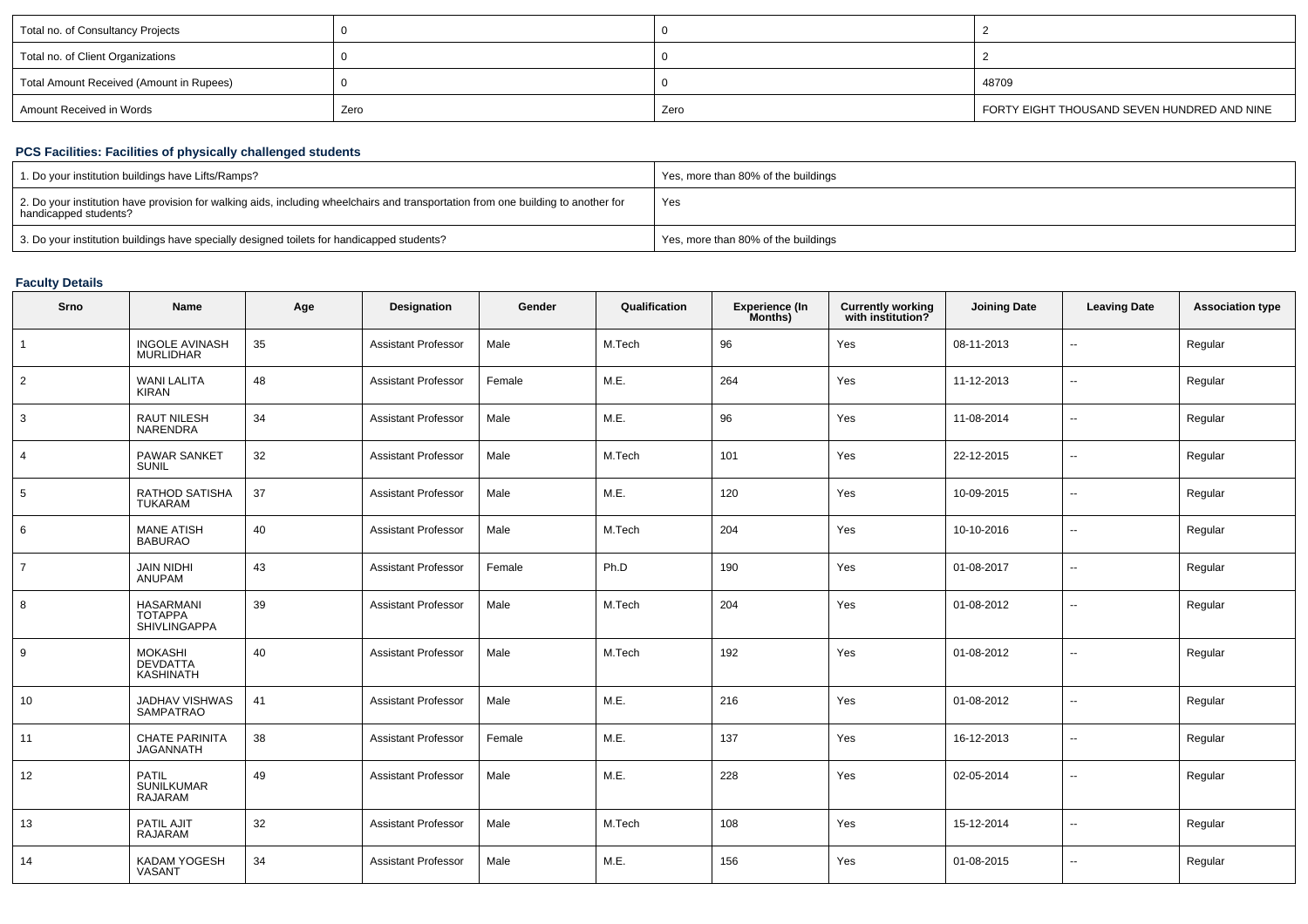| Total no. of Consultancy Projects        |      |      |                                             |
|------------------------------------------|------|------|---------------------------------------------|
| Total no. of Client Organizations        |      |      |                                             |
| Total Amount Received (Amount in Rupees) |      |      | 48709                                       |
| Amount Received in Words                 | Zero | Zero | FORTY EIGHT THOUSAND SEVEN HUNDRED AND NINE |

## **PCS Facilities: Facilities of physically challenged students**

| 1. Do your institution buildings have Lifts/Ramps?                                                                                                         | Yes, more than 80% of the buildings |
|------------------------------------------------------------------------------------------------------------------------------------------------------------|-------------------------------------|
| 2. Do your institution have provision for walking aids, including wheelchairs and transportation from one building to another for<br>handicapped students? | Yes                                 |
| 3. Do your institution buildings have specially designed toilets for handicapped students?                                                                 | Yes, more than 80% of the buildings |

#### **Faculty Details**

| Srno           | Name                                                      | Age | Designation                | Gender | Qualification | <b>Experience (In</b><br>Months) | <b>Currently working</b><br>with institution? | <b>Joining Date</b> | <b>Leaving Date</b>      | <b>Association type</b> |
|----------------|-----------------------------------------------------------|-----|----------------------------|--------|---------------|----------------------------------|-----------------------------------------------|---------------------|--------------------------|-------------------------|
|                | <b>INGOLE AVINASH</b><br><b>MURLIDHAR</b>                 | 35  | <b>Assistant Professor</b> | Male   | M.Tech        | 96                               | Yes                                           | 08-11-2013          | ц,                       | Regular                 |
| $\overline{2}$ | <b>WANI LALITA</b><br><b>KIRAN</b>                        | 48  | <b>Assistant Professor</b> | Female | M.E.          | 264                              | Yes                                           | 11-12-2013          | $\sim$                   | Regular                 |
| 3              | <b>RAUT NILESH</b><br><b>NARENDRA</b>                     | 34  | <b>Assistant Professor</b> | Male   | M.E.          | 96                               | Yes                                           | 11-08-2014          | $\overline{\phantom{a}}$ | Regular                 |
| $\overline{4}$ | <b>PAWAR SANKET</b><br><b>SUNIL</b>                       | 32  | <b>Assistant Professor</b> | Male   | M.Tech        | 101                              | Yes                                           | 22-12-2015          | $\sim$                   | Regular                 |
| 5              | RATHOD SATISHA<br>TUKARAM                                 | 37  | <b>Assistant Professor</b> | Male   | M.E.          | 120                              | Yes                                           | 10-09-2015          | $\sim$                   | Regular                 |
| 6              | <b>MANE ATISH</b><br><b>BABURAO</b>                       | 40  | <b>Assistant Professor</b> | Male   | M.Tech        | 204                              | Yes                                           | 10-10-2016          | $\sim$                   | Regular                 |
| $\overline{7}$ | <b>JAIN NIDHI</b><br>ANUPAM                               | 43  | <b>Assistant Professor</b> | Female | Ph.D          | 190                              | Yes                                           | 01-08-2017          | $\sim$                   | Regular                 |
| 8              | <b>HASARMANI</b><br><b>TOTAPPA</b><br><b>SHIVLINGAPPA</b> | 39  | <b>Assistant Professor</b> | Male   | M.Tech        | 204                              | Yes                                           | 01-08-2012          | $\sim$                   | Regular                 |
| 9              | <b>MOKASHI</b><br><b>DEVDATTA</b><br>KASHINATH            | 40  | <b>Assistant Professor</b> | Male   | M.Tech        | 192                              | Yes                                           | 01-08-2012          | $\sim$                   | Regular                 |
| 10             | JADHAV VISHWAS<br><b>SAMPATRAO</b>                        | 41  | <b>Assistant Professor</b> | Male   | M.E.          | 216                              | Yes                                           | 01-08-2012          | $\sim$                   | Regular                 |
| 11             | <b>CHATE PARINITA</b><br><b>JAGANNATH</b>                 | 38  | <b>Assistant Professor</b> | Female | M.E.          | 137                              | Yes                                           | 16-12-2013          | $\overline{\phantom{a}}$ | Regular                 |
| 12             | <b>PATIL</b><br>SUNILKUMAR<br><b>RAJARAM</b>              | 49  | <b>Assistant Professor</b> | Male   | M.E.          | 228                              | Yes                                           | 02-05-2014          | $\overline{\phantom{a}}$ | Regular                 |
| 13             | PATIL AJIT<br><b>RAJARAM</b>                              | 32  | <b>Assistant Professor</b> | Male   | M.Tech        | 108                              | Yes                                           | 15-12-2014          | $\sim$                   | Regular                 |
| 14             | KADAM YOGESH<br><b>VASANT</b>                             | 34  | <b>Assistant Professor</b> | Male   | M.E.          | 156                              | Yes                                           | 01-08-2015          | $\sim$                   | Regular                 |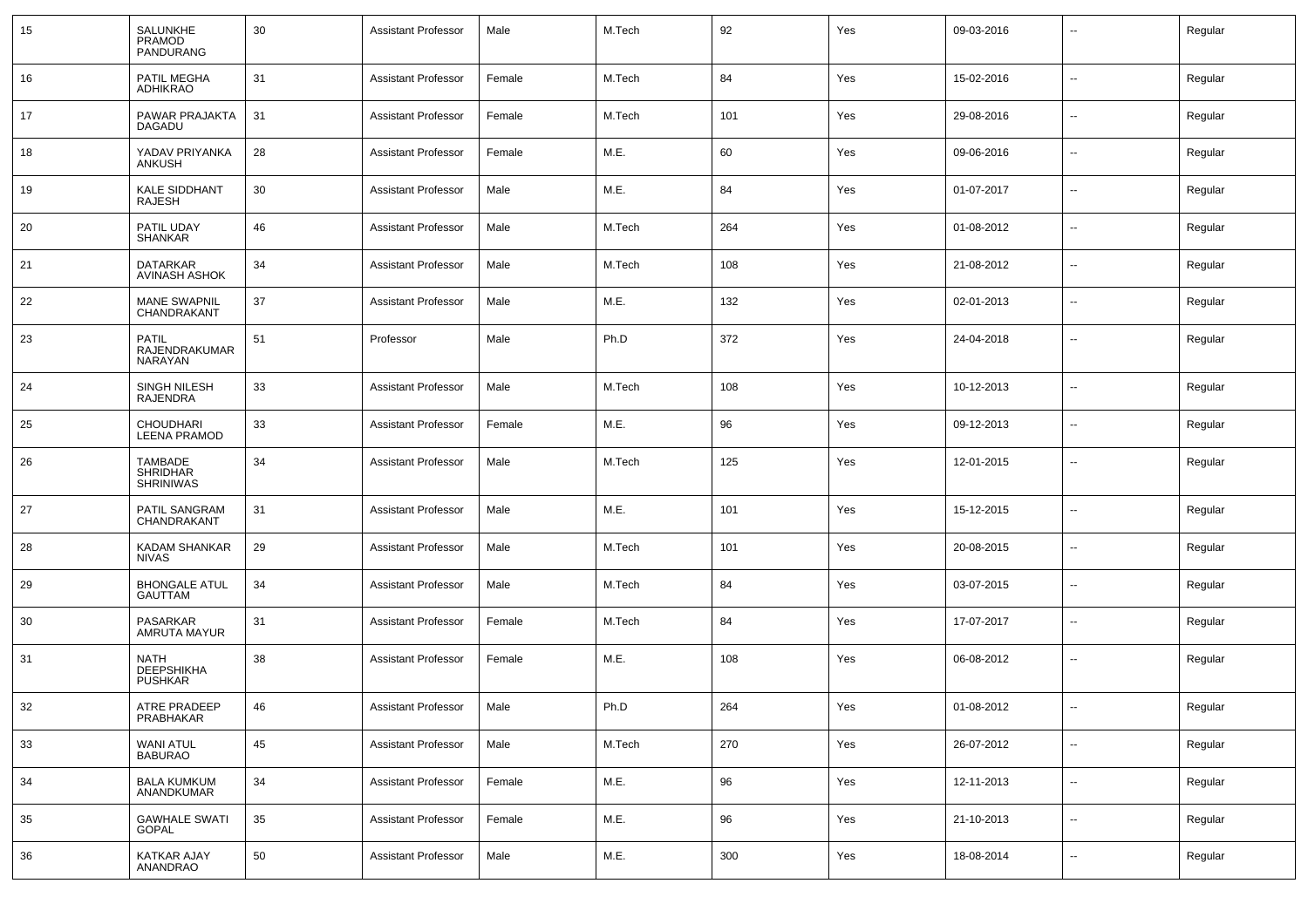| 15 | SALUNKHE<br><b>PRAMOD</b><br>PANDURANG                | 30 | <b>Assistant Professor</b> | Male   | M.Tech | 92  | Yes | 09-03-2016 |                          | Regular |
|----|-------------------------------------------------------|----|----------------------------|--------|--------|-----|-----|------------|--------------------------|---------|
| 16 | PATIL MEGHA<br>ADHIKRAO                               | 31 | <b>Assistant Professor</b> | Female | M.Tech | 84  | Yes | 15-02-2016 | $\overline{\phantom{a}}$ | Regular |
| 17 | PAWAR PRAJAKTA<br>DAGADU                              | 31 | <b>Assistant Professor</b> | Female | M.Tech | 101 | Yes | 29-08-2016 | $\sim$                   | Regular |
| 18 | YADAV PRIYANKA<br>ANKUSH                              | 28 | <b>Assistant Professor</b> | Female | M.E.   | 60  | Yes | 09-06-2016 | $\sim$                   | Regular |
| 19 | <b>KALE SIDDHANT</b><br>RAJESH                        | 30 | <b>Assistant Professor</b> | Male   | M.E.   | 84  | Yes | 01-07-2017 | $\sim$                   | Regular |
| 20 | PATIL UDAY<br><b>SHANKAR</b>                          | 46 | <b>Assistant Professor</b> | Male   | M.Tech | 264 | Yes | 01-08-2012 | $\sim$                   | Regular |
| 21 | DATARKAR<br><b>AVINASH ASHOK</b>                      | 34 | <b>Assistant Professor</b> | Male   | M.Tech | 108 | Yes | 21-08-2012 | $\sim$                   | Regular |
| 22 | <b>MANE SWAPNIL</b><br>CHANDRAKANT                    | 37 | <b>Assistant Professor</b> | Male   | M.E.   | 132 | Yes | 02-01-2013 | $\overline{\phantom{a}}$ | Regular |
| 23 | PATIL<br>RAJENDRAKUMAR<br>NARAYAN                     | 51 | Professor                  | Male   | Ph.D   | 372 | Yes | 24-04-2018 | $\sim$                   | Regular |
| 24 | SINGH NILESH<br><b>RAJENDRA</b>                       | 33 | <b>Assistant Professor</b> | Male   | M.Tech | 108 | Yes | 10-12-2013 | $\sim$                   | Regular |
| 25 | <b>CHOUDHARI</b><br><b>LEENA PRAMOD</b>               | 33 | <b>Assistant Professor</b> | Female | M.E.   | 96  | Yes | 09-12-2013 | $\overline{\phantom{a}}$ | Regular |
| 26 | <b>TAMBADE</b><br><b>SHRIDHAR</b><br><b>SHRINIWAS</b> | 34 | <b>Assistant Professor</b> | Male   | M.Tech | 125 | Yes | 12-01-2015 | $\sim$                   | Regular |
| 27 | PATIL SANGRAM<br>CHANDRAKANT                          | 31 | <b>Assistant Professor</b> | Male   | M.E.   | 101 | Yes | 15-12-2015 | --                       | Regular |
| 28 | <b>KADAM SHANKAR</b><br><b>NIVAS</b>                  | 29 | <b>Assistant Professor</b> | Male   | M.Tech | 101 | Yes | 20-08-2015 | --                       | Regular |
| 29 | <b>BHONGALE ATUL</b><br>GAUTTAM                       | 34 | <b>Assistant Professor</b> | Male   | M.Tech | 84  | Yes | 03-07-2015 | --                       | Regular |
| 30 | PASARKAR<br><b>AMRUTA MAYUR</b>                       | 31 | <b>Assistant Professor</b> | Female | M.Tech | 84  | Yes | 17-07-2017 | --                       | Regular |
| 31 | <b>NATH</b><br><b>DEEPSHIKHA</b><br><b>PUSHKAR</b>    | 38 | <b>Assistant Professor</b> | Female | M.E.   | 108 | Yes | 06-08-2012 | --                       | Regular |
| 32 | ATRE PRADEEP<br>PRABHAKAR                             | 46 | <b>Assistant Professor</b> | Male   | Ph.D   | 264 | Yes | 01-08-2012 | $\overline{\phantom{a}}$ | Regular |
| 33 | <b>WANI ATUL</b><br>BABURAO                           | 45 | <b>Assistant Professor</b> | Male   | M.Tech | 270 | Yes | 26-07-2012 | $\overline{\phantom{a}}$ | Regular |
| 34 | BALA KUMKUM<br>ANANDKUMAR                             | 34 | <b>Assistant Professor</b> | Female | M.E.   | 96  | Yes | 12-11-2013 | $\overline{\phantom{a}}$ | Regular |
| 35 | <b>GAWHALE SWATI</b><br>GOPAL                         | 35 | <b>Assistant Professor</b> | Female | M.E.   | 96  | Yes | 21-10-2013 | $\overline{\phantom{a}}$ | Regular |
| 36 | KATKAR AJAY<br>ANANDRAO                               | 50 | <b>Assistant Professor</b> | Male   | M.E.   | 300 | Yes | 18-08-2014 | $\overline{\phantom{a}}$ | Regular |